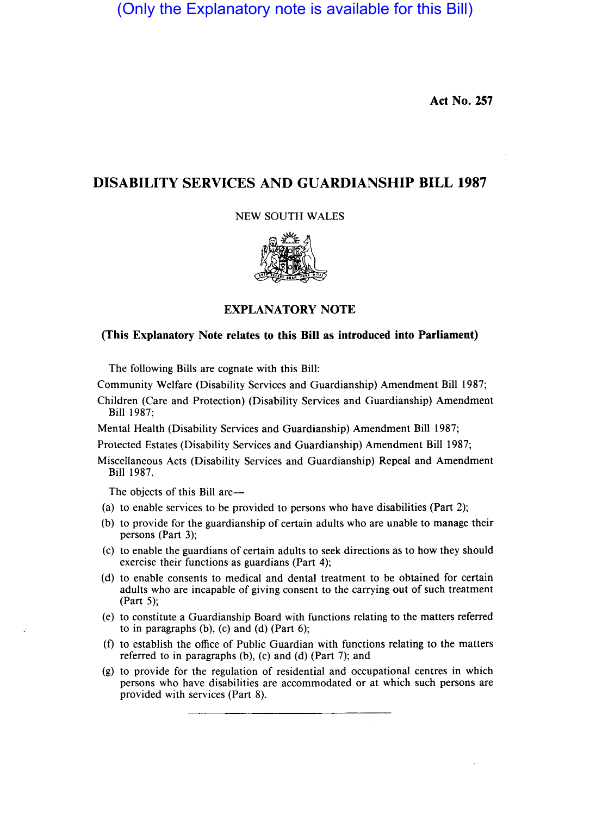(Only the Explanatory note is available for this Bill)

**Act No. 257** 

# **DISABILITY SERVICES AND GUARDIANSHIP BILL 1987**

NEW SOUTH WALES



# **EXPLANATORY NOTE**

# **(This Explanatory Note relates to this Bill as introduced into Parliament)**

The following Bills are cognate with this Bill:

Community Welfare (Disability Services and Guardianship) Amendment Bill 1987;

Children (Care and Protection) (Disability Services and Guardianship) Amendment Bill 1987;

Mental Health (Disability Services and Guardianship) Amendment Bill 1987;

Protected Estates (Disability Services and Guardianship) Amendment Bill 1987;

Miscellaneous Acts (Disability Services and Guardianship) Repeal and Amendment Bill 1987.

The objects of this Bill are—

- (a) to enable services to be provided to persons who have disabilities (Part 2);
- (b) to provide for the guardianship of certain adults who are unable to manage their persons (Part 3);
- (c) to enable the guardians of certain adults to seek directions as to how they should exercise their functions as guardians (Part 4);
- (d) to enable consents to medical and dental treatment to be obtained for certain adults who are incapable of giving consent to the carrying out of such treatment (Part 5);
- (e) to constitute a Guardianship Board with functions relating to the matters referred to in paragraphs  $(b)$ ,  $(c)$  and  $(d)$  (Part 6);
- (f) to establish the office of Public Guardian with functions relating to the matters referred to in paragraphs (b), (c) and (d) (Part 7); and
- (g) to provide for the regulation of residential and occupational centres in which persons who have disabilities are accommodated or at which such persons are provided with services (Part 8).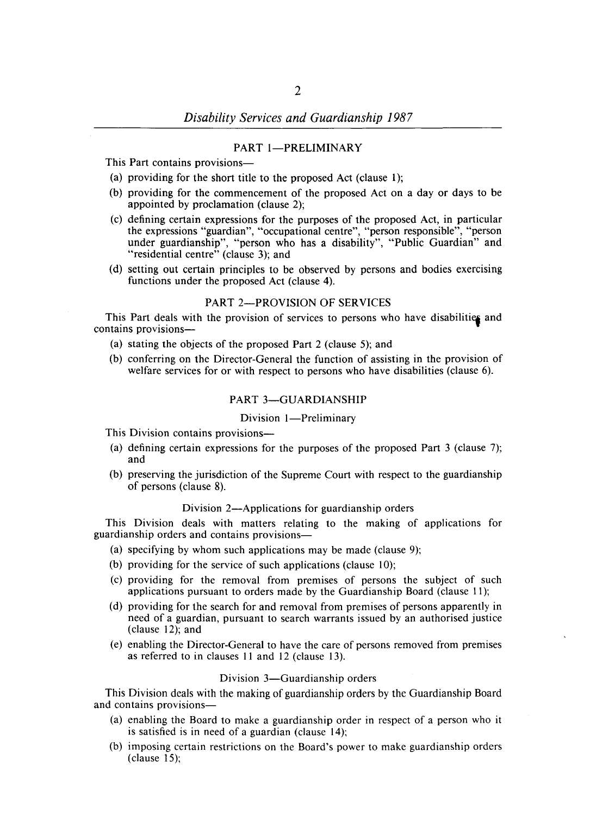#### PART 1-PRELIMINARY

This Part contains provisions-

- (a) providing for the short title to the proposed Act (clause 1);
- (b) providing for the commencement of the proposed Act on a day or days to be appointed by proclamation (clause 2);
- (c) defining certain expressions for the purposes of the proposed Act, in particular the expressions "guardian", "occupational centre", "person responsible", "person under guardianship", "person who has a disability", "Public Guardian" and "residential centre" (clause 3); and
- (d) setting out certain principles to be observed by persons and bodies exercising functions under the proposed Act (clause 4).

#### PART 2-PROVISION OF SERVICES

This Part deals with the provision of services to persons who have disabilities and contains provisions-

- (a) stating the objects of the proposed Part 2 (clause 5); and
- (b) conferring on the Director-General the function of assisting in the provision of welfare services for or with respect to persons who have disabilities (clause 6).

## PART 3-GUARDIANSHIP

#### Division 1-Preliminary

This Division contains provisions-

- (a) defining certain expressions for the purposes of the proposed Part 3 (clause 7); and
- (b) preserving the jurisdiction of the Supreme Court with respect to the guardianship of persons (clause 8).

#### Division 2—Applications for guardianship orders

This Division deals with matters relating to the making of applications for guardianship orders and contains provisions-

- (a) specifying by whom such applications may be made (clause 9);
- (b) providing for the service of such applications (clause 10);
- (c) providing for the removal from premises of persons the subject of such applications pursuant to orders made by the Guardianship Board (clause 11);
- (d) providing for the search for and removal from premises of persons apparently in need of a guardian, pursuant to search warrants issued by an authorised justice (clause 12); and
- (e) enabling the Director-General to have the care of persons removed from premises as referred to in clauses 11 and 12 (clause 13).

#### Division 3-Guardianship orders

This Division deals with the making of guardianship orders by the Guardianship Board and contains provisions-

- (a) enabling the Board to make a guardianship order in respect of a person who it is satisfied is in need of a guardian (clause 14);
- (b) imposing certain restrictions on the Board's power to make guardianship orders (clause 15);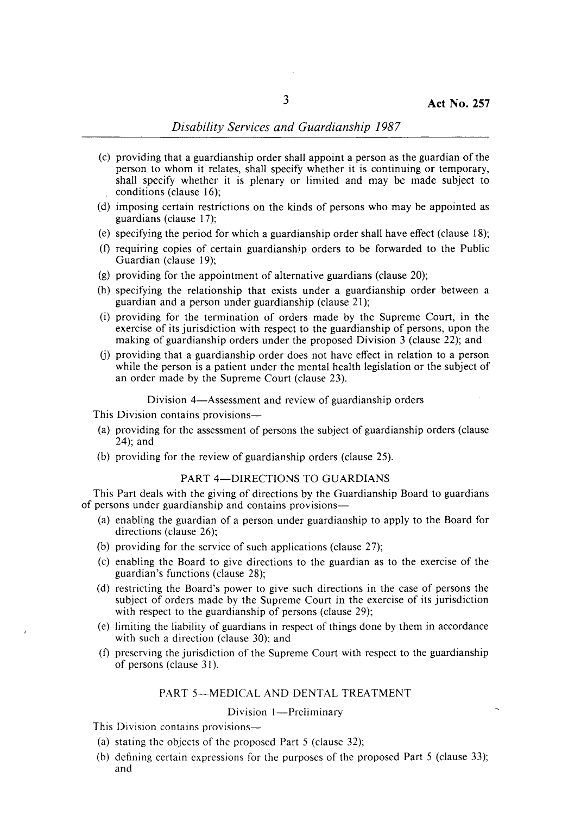- (c) providing that a guardianship order shall appoint a person as the guardian of the person to whom it relates, shall specify whether it is continuing or temporary, shall specify whether it is plenary or limited and may be made subject to conditions (clause 16);
- (d) imposing certain restrictions on the kinds of persons who may be appointed as guardians (clause 17);
- (e) specifying the period for which a guardianship order shall have effect (clause 18);
- (t) requiring copies of certain guardianship orders to be forwarded to the Public Guardian (clause 19);
- (g) providing for the appointment of alternative guardians (clause 20);
- (h) specifying the relationship that exists under a guardianship order between a guardian and a person under guardianship (clause 21);
- (i) providing for the termination of orders made by the Supreme Court, in the exercise of its jurisdiction with respect to the guardianship of persons, upon the making of guardianship orders under the proposed Division 3 (clause 22); and
- (j) providing that a guardianship order does not have effect in relation to a person while the person is a patient under the mental health legislation or the subject of an order made by the Supreme Court (clause 23).

#### Division 4—Assessment and review of guardianship orders

This Division contains provisions-

- (a) providing for the assessment of persons the subject of guardianship orders (clause 24); and
- (b) providing for the review of guardianship orders (clause 25).

# PART 4-DIRECTIONS TO GUARDIANS

This Part deals with the giving of directions by the Guardianship Board to guardians of persons under guardianship and contains provisions-

- (a) enabling the guardian of a person under guardianship to apply to the Board for directions (clause 26);
- (b) providing for the service of such applications (clause 27);
- (c) enabling the Board to give directions to the guardian as to the exercise of the guardian's functions (clause 28);
- (d) restricting the Board's power to give such directions in the case of persons the subject of orders made by the Supreme Court in the exercise of its jurisdiction with respect to the guardianship of persons (clause 29);
- (e) limiting the liability of guardians in respect of things done by them in accordance with such a direction (clause 30); and
- (t) preserving the jurisdiction of the Supreme Court with respect to the guardianship of persons (clause 31).

### PART 5-MEDICAL AND DENTAL TREATMENT

## Division 1-Preliminary

This Division contains provisions—

- (a) stating the objects of the proposed Part 5 (clause 32);
- (b) defining certain expressions for the purposes of the proposed Part 5 (clause 33); and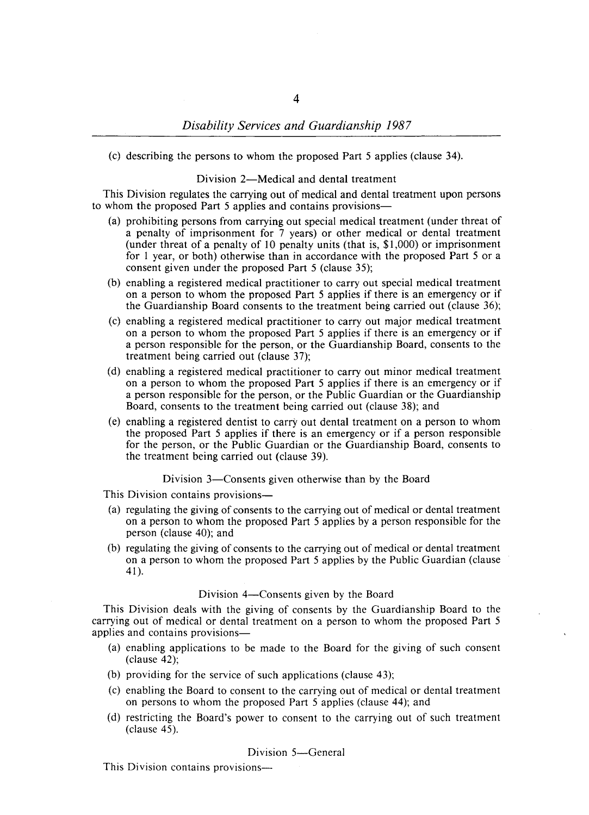(c) describing the persons to whom the proposed Part 5 applies (clause 34).

## Division 2-Medical and dental treatment

This Division regulates the carrying out of medical and dental treatment upon persons to whom the proposed Part 5 applies and contains provisions-

- (a) prohibiting persons from carrying out special medical treatment (under threat of a penalty of imprisonment for 7 years) or other medical or dental treatment (under threat of a penalty of 10 penalty units (that is, \$1,000) or imprisonment for 1 year, or both) otherwise than in accordance with the proposed Part 5 or a consent given under the proposed Part 5 (clause 35);
- (b) enabling a registered medical practitioner to carry out special medical treatment on a person to whom the proposed Part 5 applies if there is an emergency or if the Guardianship Board consents to the treatment being carried out (clause 36);
- (c) enabling a registered medical practitioner to carry out major medical treatment on a person to whom the proposed Part 5 applies if there is an emergency or if a person responsible for the person, or the Guardianship Board, consents to the treatment being carried out (clause 37);
- (d) enabling a registered medical practitioner to carry out minor medical treatment on a person to whom the proposed Part 5 applies if there is an emergency or if a person responsible for the person, or the Public Guardian or the Guardianship Board, consents to the treatment being carried out (clause 38); and
- (e) enabling a registered dentist to carry out dental treatment on a person to whom the proposed Part 5 applies if there is an emergency or if a person responsible for the person, or the Public Guardian or the Guardianship Board, consents to the treatment being carried out (clause 39).

#### Division 3—Consents given otherwise than by the Board

This Division contains provisions—

- (a) regulating the giving of consents to the carrying out of medical or dental treatment on a person to whom the proposed Part 5 applies by a person responsible for the person (clause 40); and
- (b) regulating the giving of consents to the carrying out of medical or dental treatment on a person to whom the proposed Part 5 applies by the Public Guardian (clause 41).

#### Division 4—Consents given by the Board

This Division deals with the giving of consents by the Guardianship Board to the carrying out of medical or dental treatment on a person to whom the proposed Part 5 applies and contains provisions-

- (a) enabling applications to be made to the Board for the giving of such consent (clause 42);
- (b) providing for the service of such applications (clause 43);
- (c) enabling the Board to consent to the carrying out of medical or dental treatment on persons to whom the proposed Part 5 applies (clause 44); and
- (d) restricting the Board's power to consent to the carrying out of such treatment (clause 45).

#### Division 5-General

This Division contains provisions-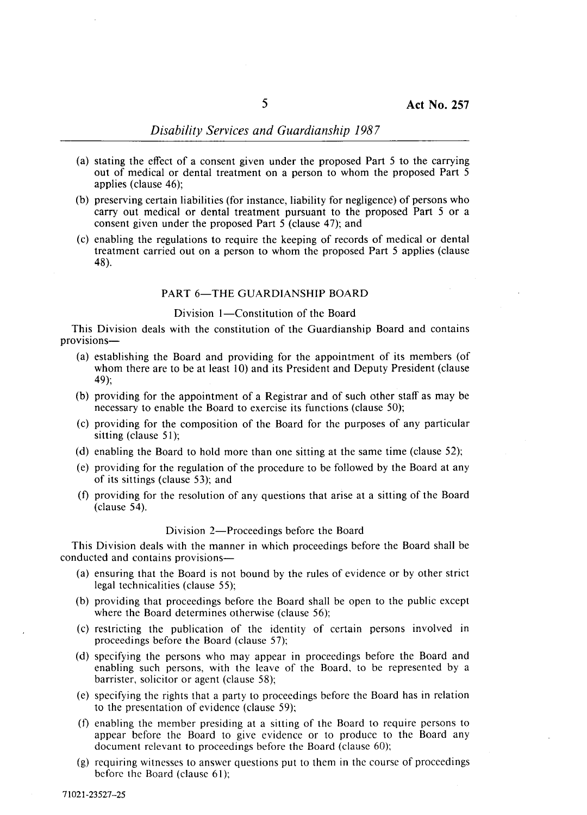- (a) stating the effect of a consent given under the proposed Part 5 to the carrying out of medical or dental treatment on a person to whom the proposed Part 5 applies (clause 46);
- (b) preserving certain liabilities (for instance, liability for negligence) of persons who carry out medical or dental treatment pursuant to the proposed Part 5 or a consent given under the proposed Part 5 (clause 47); and
- (c) enabling the regulations to require the keeping of records of medical or dental treatment carried out on a person to whom the proposed Part 5 applies (clause 48).

#### PART 6-THE GUARDIANSHIP BOARD

## Division 1-Constitution of the Board

This Division deals with the constitution of the Guardianship Board and contains provisions-

- (a) establishing the Board and providing for the appointment of its members (of whom there are to be at least 10) and its President and Deputy President (clause 49);
- (b) providing for the appointment of a Registrar and of such other staff as may be necessary to enable the Board to exercise its functions (clause 50);
- (c) providing for the composition of the Board for the purposes of any particular sitting (clause 51);
- (d) enabling the Board to hold more than one sitting at the same time (clause 52);
- (e) providing for the regulation of the procedure to be followed by the Board at any of its sittings (clause 53); and
- (f) providing for the resolution of any questions that arise at a sitting of the Board (clause 54).

#### Division 2—Proceedings before the Board

This Division deals with the manner in which proceedings before the Board shall be conducted and contains provisions-

- (a) ensuring that the Board is not bound by the rules of evidence or by other strict legal technicalities (clause 55);
- (b) providing that proceedings before the Board shall be open to the public except where the Board determines otherwise (clause 56):
- (c) restricting the publication of the identity of certain persons involved in proceedings before the Board (clause 57);
- (d) specifying the persons who may appear in proceedings before the Board and enabling such persons, with the leave of the Board, to be represented by a barrister, solicitor or agent (clause 58);
- (e) specifying the rights that a party to proceedings before the Board has in relation to the presentation of evidence (clause 59);
- (f) enabling the member presiding at a sitting of the Board to require persons to appear before the Board to give evidence or to produce to the Board any document relevant to proceedings before the Board (clause 60);
- (g) requiring witnesses to answer questions put to them in the course of proceedings before the Board (clause 61);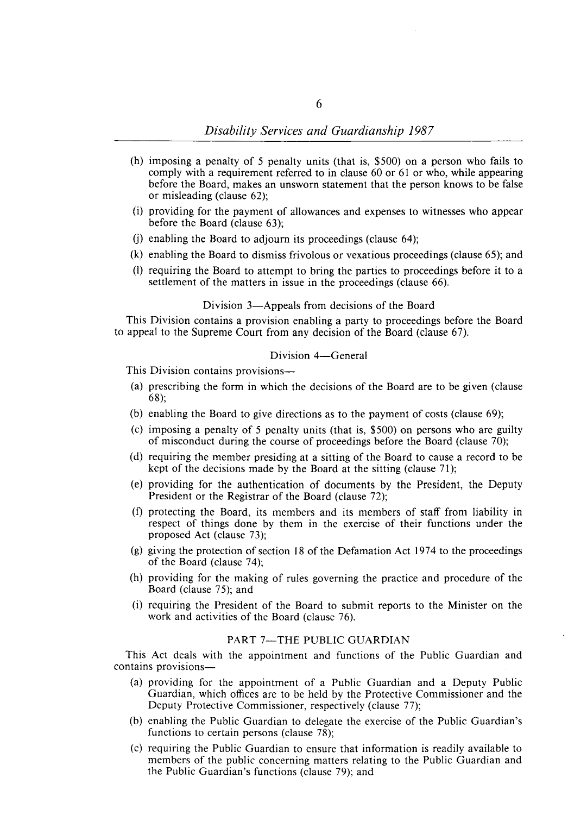- (h) imposing a penalty of 5 penalty units (that is, \$500) on a person who fails to comply with a requirement referred to in clause 60 or 61 or who, while appearing before the Board, makes an unsworn statement that the person knows to be false or misleading (clause 62);
- (i) providing for the payment of allowances and expenses to witnesses who appear before the Board (clause 63);
- (j) enabling the Board to adjourn its proceedings (clause 64);
- (k) enabling the Board to dismiss frivolous or vexatious proceedings (clause 65); and
- (1) requiring the Board to attempt to bring the parties to proceedings before it to a settlement of the matters in issue in the proceedings (clause 66).

#### Division 3—Appeals from decisions of the Board

This Division contains a provision enabling a party to proceedings before the Board to appeal to the Supreme Court from any decision of the Board (clause 67).

#### Division 4-General

This Division contains provisions—

- (a) prescribing the form in which the decisions of the Board are to be given (clause 68);
- (b) enabling the Board to give directions as to the payment of costs (clause 69);
- (c) imposing a penalty of 5 penalty units (that is, \$500) on persons who are guilty of misconduct during the course of proceedings before the Board (clause 70);
- (d) requiring the member presiding at a sitting of the Board to cause a record to be kept of the decisions made by the Board at the sitting (clause 71);
- (e) providing for the authentication of documents by the President, the Deputy President or the Registrar of the Board (clause 72);
- (f) protecting the Board, its members and its members of staff from liability in respect of things done by them in the exercise of their functions under the proposed Act (clause 73);
- (g) giving the protection of section 18 of the Defamation Act 1974 to the proceedings of the Board (clause 74);
- (h) providing for the making of rules governing the practice and procedure of the Board (clause 75); and
- (i) requiring the President of the Board to submit reports to the Minister on the work and activities of the Board (clause 76).

# PART 7-THE PUBLIC GUARDIAN

This Act deals with the appointment and functions of the Public Guardian and contains provisions-

- (a) providing for the appointment of a Public Guardian and a Deputy Public Guardian, which offices are to be held by the Protective Commissioner and the Deputy Protective Commissioner, respectively (clause 77);
- (b) enabling the Public Guardian to delegate the exercise of the Public Guardian's functions to certain persons (clause 78);
- (c) requiring the Public Guardian to ensure that information is readily available to members of the public concerning matters relating to the Public Guardian and the Public Guardian's functions (clause 79); and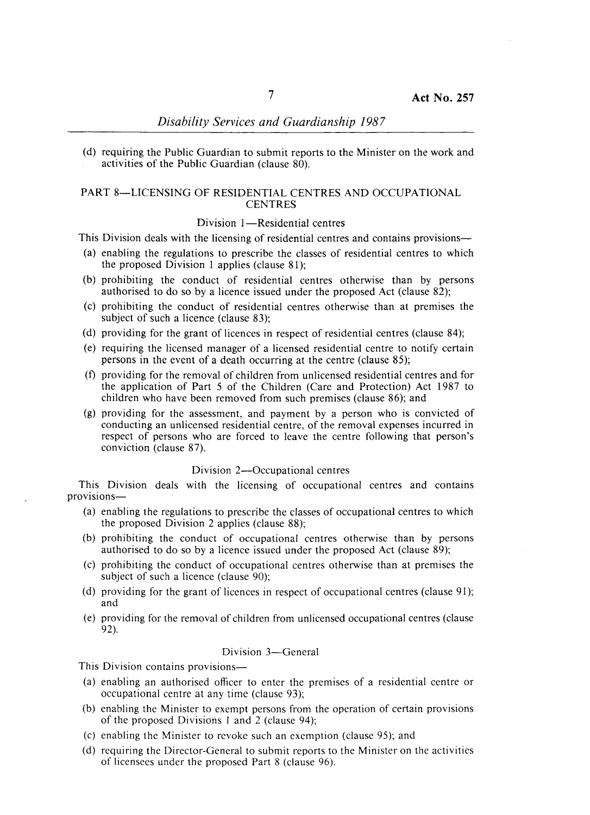(d) requiring the Public Guardian to submit reports to the Minister on the work and activities of the Public Guardian (clause 80).

## PART 8-LICENSING OF RESIDENTIAL CENTRES AND OCCUPATIONAL **CENTRES**

#### Division 1-Residential centres

This Division deals with the licensing of residential centres and contains provisions—

- (a) enabling the regulations to prescribe the classes of residential centres to which the proposed Division 1 applies (clause 81);
- (b) prohibiting the conduct of residential centres otherwise than by persons authorised to do so by a licence issued under the proposed Act (clause 82);
- (c) prohibiting the conduct of residential centres otherwise than at premises the subject of such a licence (clause 83);
- (d) providing for the grant of licences in respect of residential centres (clause 84);
- (e) requiring the licensed manager of a licensed residential centre to notify certain persons in the event of a death occurring at the centre (clause 85);
- (f) providing for the removal of children from unlicensed residential centres and for the application of Part 5 of the Children (Care and Protection) Act 1987 to children who have been removed from such premises (clause 86); and
- (g) providing for the assessment, and payment by a person who is convicted of conducting an unlicensed residential centre, of the removal expenses incurred in respect of persons who are forced to leave the centre following that person's conviction (clause 87).

#### Division 2-Occupational centres

This Division deals with the licensing of occupational centres and contains provisions-

- (a) enabling the regulations to prescribe the classes of occupational centres to which the proposed Division 2 applies (clause 88);
- (b) prohibiting the conduct of occupational centres otherwise than by persons authorised to do so by a licence issued under the proposed Act (clause 89);
- (c) prohibiting the conduct of occupational centres otherwise than at premises the subject of such a licence (clause 90);
- (d) providing for the grant of licences in respect of occupational centres (clause 91); and
- (e) providing for the removal of children from unlicensed occupational centres (clause 92).

## Division 3-General

This Division contains provisions—

- (a) enabling an authorised officer to enter the premises of a residential centre or occupational centre at any time (clause 93);
- (b) enabling the Minister to exempt persons from the operation of certain provisions of the proposed Divisions I and 2 (clause 94);
- (c) enabling the Minister to revoke such an exemption (clause 95); and
- (d) requiring the Director-General to submit reports to the Minister on the activities of licensees under the proposed Part 8 (clause 96).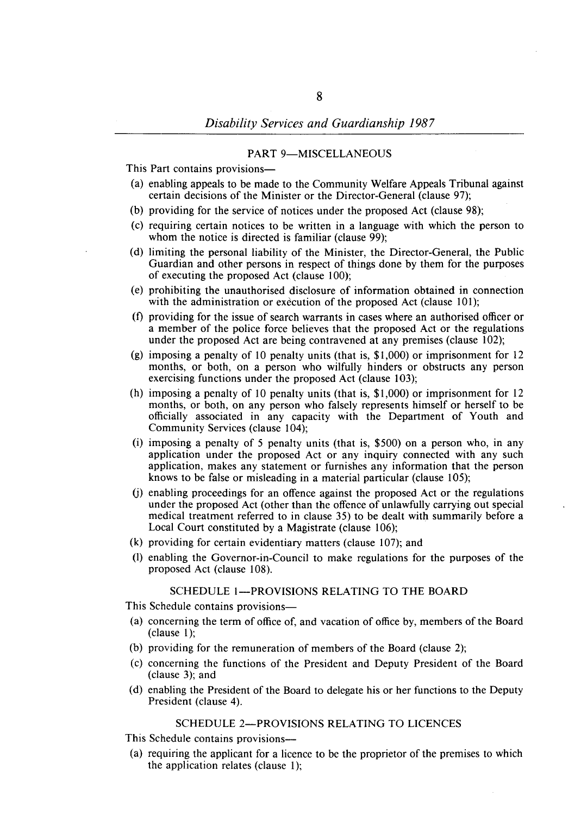# PART 9-MISCELLANEOUS

This Part contains provisions-

- (a) enabling appeals to be made to the Community Welfare Appeals Tribunal against certain decisions of the Minister or the Director-General (clause 97);
- (b) providing for the service of notices under the proposed Act (clause 98);
- (c) requiring certain notices to be written in a language with which the person to whom the notice is directed is familiar (clause 99);
- (d) limiting the personal liability of the Minister, the Director-General, the Public Guardian and other persons in respect of things done by them for the purposes of executing the proposed Act (clause 100);
- (e) prohibiting the unauthorised disclosure of information obtained in connection with the administration or execution of the proposed Act (clause 101);
- (f) providing for the issue of search warrants in cases where an authorised officer or a member of the police force believes that the proposed Act or the regulations under the proposed Act are being contravened at any premises (clause 102);
- (g) imposing a penalty of 10 penalty units (that is, \$1,000) or imprisonment for 12 months, or both, on a person who wilfully hinders or obstructs any person exercising functions under the proposed Act (clause 103);
- (h) imposing a penalty of 10 penalty units (that is, \$1,000) or imprisonment for 12 months, or both, on any person who falsely represents himself or herself to be officially associated in any capacity with the Department of Youth and Community Services (clause 104);
- (i) imposing a penalty of 5 penalty units (that is, \$500) on a person who, in any application under the proposed Act or any inquiry connected with any such application, makes any statement or furnishes any information that the person knows to be false or misleading in a material particular (clause 105);
- $(i)$  enabling proceedings for an offence against the proposed Act or the regulations under the proposed Act (other than the offence of unlawfully carrying out special medical treatment referred to in clause 35) to be dealt with summarily before a Local Court constituted by a Magistrate (clause 106);
- (k) providing for certain evidentiary matters (clause 107); and
- (I) enabling the Governor-in-Council to make regulations for the purposes of the proposed Act (clause 108).

## SCHEDULE 1-PROVISIONS RELATING TO THE BOARD

This Schedule contains provisions—

- (a) concerning the term of office of, and vacation of office by, members of the Board (clause 1);
- (b) providing for the remuneration of members of the Board (clause 2);
- (c) concerning the functions of the President and Deputy President of the Board (clause 3); and
- (d) enabling the President of the Board to delegate his or her functions to the Deputy President (clause 4).

### SCHEDULE 2-PROVISIONS RELATING TO LICENCES

This Schedule contains provisions-

(a) requiring the applicant for a licence to be the proprietor of the premises to which the application relates (clause I);